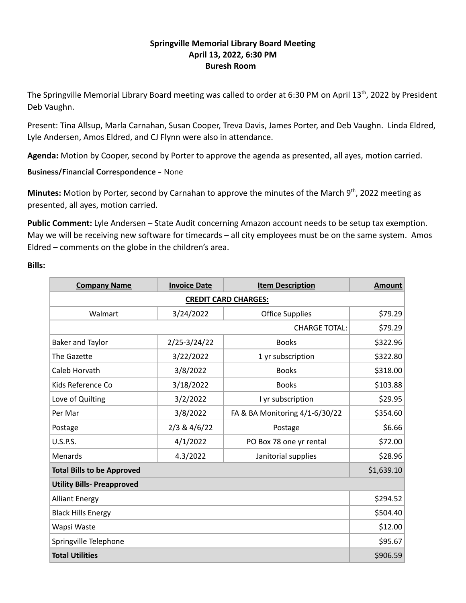# **Springville Memorial Library Board Meeting April 13, 2022, 6:30 PM Buresh Room**

The Springville Memorial Library Board meeting was called to order at 6:30 PM on April 13<sup>th</sup>, 2022 by President Deb Vaughn.

Present: Tina Allsup, Marla Carnahan, Susan Cooper, Treva Davis, James Porter, and Deb Vaughn. Linda Eldred, Lyle Andersen, Amos Eldred, and CJ Flynn were also in attendance.

**Agenda:** Motion by Cooper, second by Porter to approve the agenda as presented, all ayes, motion carried.

**Business/Financial Correspondence -** None

Minutes: Motion by Porter, second by Carnahan to approve the minutes of the March 9<sup>th</sup>, 2022 meeting as presented, all ayes, motion carried.

**Public Comment:** Lyle Andersen – State Audit concerning Amazon account needs to be setup tax exemption. May we will be receiving new software for timecards – all city employees must be on the same system. Amos Eldred – comments on the globe in the children's area.

## **Bills:**

| <b>Company Name</b>               | <b>Invoice Date</b> | <b>Item Description</b>        | <b>Amount</b> |  |  |
|-----------------------------------|---------------------|--------------------------------|---------------|--|--|
| <b>CREDIT CARD CHARGES:</b>       |                     |                                |               |  |  |
| Walmart                           | 3/24/2022           | <b>Office Supplies</b>         | \$79.29       |  |  |
|                                   | \$79.29             |                                |               |  |  |
| <b>Baker and Taylor</b>           | $2/25 - 3/24/22$    | <b>Books</b>                   | \$322.96      |  |  |
| The Gazette                       | 3/22/2022           | 1 yr subscription              | \$322.80      |  |  |
| Caleb Horvath                     | 3/8/2022            | <b>Books</b>                   | \$318.00      |  |  |
| Kids Reference Co                 | 3/18/2022           | <b>Books</b>                   | \$103.88      |  |  |
| Love of Quilting                  | 3/2/2022            | I yr subscription              | \$29.95       |  |  |
| Per Mar                           | 3/8/2022            | FA & BA Monitoring 4/1-6/30/22 | \$354.60      |  |  |
| Postage                           | 2/3 & 4/6/22        | Postage                        | \$6.66        |  |  |
| <b>U.S.P.S.</b>                   | 4/1/2022            | PO Box 78 one yr rental        | \$72.00       |  |  |
| Menards                           | 4.3/2022            | Janitorial supplies            | \$28.96       |  |  |
| <b>Total Bills to be Approved</b> | \$1,639.10          |                                |               |  |  |
| <b>Utility Bills- Preapproved</b> |                     |                                |               |  |  |
| <b>Alliant Energy</b>             | \$294.52            |                                |               |  |  |
| <b>Black Hills Energy</b>         | \$504.40            |                                |               |  |  |
| Wapsi Waste                       | \$12.00             |                                |               |  |  |
| Springville Telephone             | \$95.67             |                                |               |  |  |
| <b>Total Utilities</b>            |                     |                                | \$906.59      |  |  |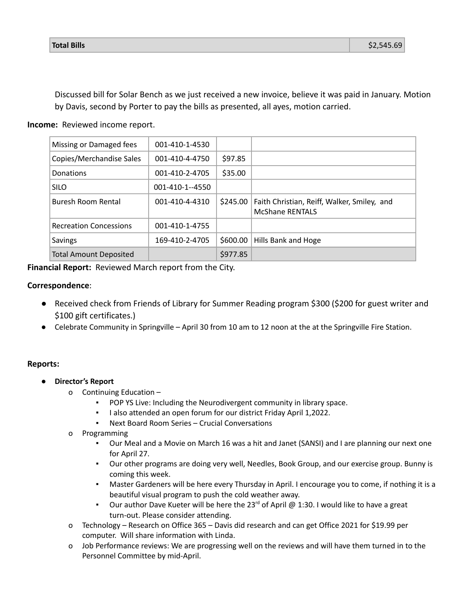Discussed bill for Solar Bench as we just received a new invoice, believe it was paid in January. Motion by Davis, second by Porter to pay the bills as presented, all ayes, motion carried.

# **Income:** Reviewed income report.

| Missing or Damaged fees       | 001-410-1-4530  |          |                                                                       |
|-------------------------------|-----------------|----------|-----------------------------------------------------------------------|
| Copies/Merchandise Sales      | 001-410-4-4750  | \$97.85  |                                                                       |
| Donations                     | 001-410-2-4705  | \$35.00  |                                                                       |
| <b>SILO</b>                   | 001-410-1--4550 |          |                                                                       |
| Buresh Room Rental            | 001-410-4-4310  | \$245.00 | Faith Christian, Reiff, Walker, Smiley, and<br><b>McShane RENTALS</b> |
| <b>Recreation Concessions</b> | 001-410-1-4755  |          |                                                                       |
| Savings                       | 169-410-2-4705  | \$600.00 | Hills Bank and Hoge                                                   |
| <b>Total Amount Deposited</b> |                 | \$977.85 |                                                                       |

**Financial Report:** Reviewed March report from the City.

#### **Correspondence**:

- Received check from Friends of Library for Summer Reading program \$300 (\$200 for guest writer and \$100 gift certificates.)
- Celebrate Community in Springville April 30 from 10 am to 12 noon at the at the Springville Fire Station.

#### **Reports:**

- **● Director's Report**
	- o Continuing Education
		- POP YS Live: Including the Neurodivergent community in library space.
		- I also attended an open forum for our district Friday April 1,2022.
		- Next Board Room Series Crucial Conversations
	- o Programming
		- Our Meal and a Movie on March 16 was a hit and Janet (SANSI) and I are planning our next one for April 27.
		- Our other programs are doing very well, Needles, Book Group, and our exercise group. Bunny is coming this week.
		- Master Gardeners will be here every Thursday in April. I encourage you to come, if nothing it is a beautiful visual program to push the cold weather away.
		- **•** Our author Dave Kueter will be here the 23<sup>rd</sup> of April @ 1:30. I would like to have a great turn-out. Please consider attending.
	- o Technology Research on Office 365 Davis did research and can get Office 2021 for \$19.99 per computer. Will share information with Linda.
	- o Job Performance reviews: We are progressing well on the reviews and will have them turned in to the Personnel Committee by mid-April.